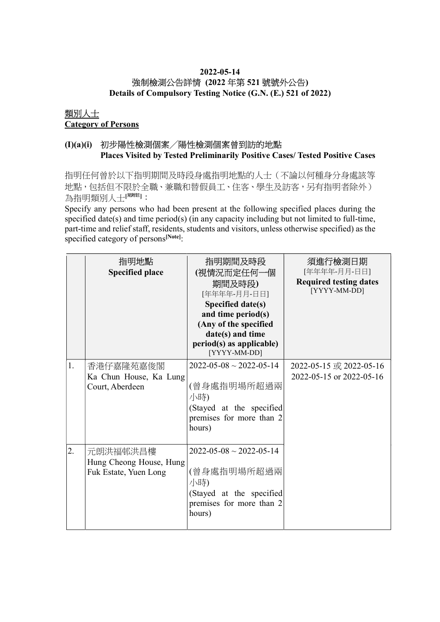# 2022-05-14 強制檢測公告詳情 (2022 年第 521 號號外公告)

Details of Compulsory Testing Notice (G.N. (E.) 521 of 2022)

#### 類別人士 Category of Persons

### (I)(a)(i) 初步陽性檢測個案╱陽性檢測個案曾到訪的地點 Places Visited by Tested Preliminarily Positive Cases/ Tested Positive Cases

指明任何曾於以下指明期間及時段身處指明地點的人士(不論以何種身分身處該等 地點,包括但不限於全職、兼職和替假員工、住客、學生及訪客,另有指明者除外) 為指明類別人士[思詳]:

Specify any persons who had been present at the following specified places during the specified date(s) and time period(s) (in any capacity including but not limited to full-time, part-time and relief staff, residents, students and visitors, unless otherwise specified) as the specified category of persons<sup>[Note]</sup>:

|    | 指明地點<br><b>Specified place</b>                               | 指明期間及時段<br>(視情況而定任何一個<br>期間及時段)<br>[年年年年-月月-日日]<br>Specified date(s)<br>and time period(s)<br>(Any of the specified<br>date(s) and time<br>period(s) as applicable)<br>[YYYY-MM-DD] | 須進行檢測日期<br>[年年年年-月月-日日]<br><b>Required testing dates</b><br>[YYYY-MM-DD] |
|----|--------------------------------------------------------------|-------------------------------------------------------------------------------------------------------------------------------------------------------------------------------------|--------------------------------------------------------------------------|
| 1. | 香港仔嘉隆苑嘉俊閣<br>Ka Chun House, Ka Lung<br>Court, Aberdeen       | $2022 - 05 - 08 \sim 2022 - 05 - 14$<br>(曾身處指明場所超過兩<br>小時)<br>(Stayed at the specified<br>premises for more than 2<br>hours)                                                        | 2022-05-15 或 2022-05-16<br>2022-05-15 or 2022-05-16                      |
| 2. | 元朗洪福邨洪昌樓<br>Hung Cheong House, Hung<br>Fuk Estate, Yuen Long | $2022 - 05 - 08 \sim 2022 - 05 - 14$<br>(曾身處指明場所超過兩<br>小時)<br>(Stayed at the specified<br>premises for more than 2<br>hours)                                                        |                                                                          |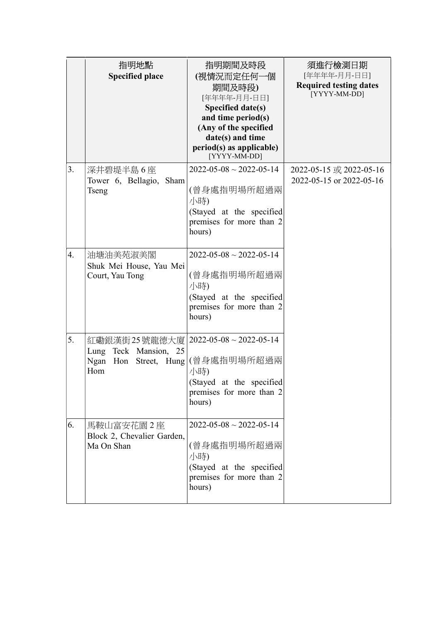|    | 指明地點<br><b>Specified place</b>                                            | 指明期間及時段<br>(視情況而定任何一個<br>期間及時段)<br>[年年年年-月月-日日]<br>Specified date(s)<br>and time period(s)<br>(Any of the specified<br>date(s) and time<br>period(s) as applicable)<br>[YYYY-MM-DD] | 須進行檢測日期<br>[年年年年-月月-日日]<br><b>Required testing dates</b><br>[YYYY-MM-DD] |
|----|---------------------------------------------------------------------------|-------------------------------------------------------------------------------------------------------------------------------------------------------------------------------------|--------------------------------------------------------------------------|
| 3. | 深井碧堤半島 6 座<br>Tower 6, Bellagio,<br>Sham<br>Tseng                         | $2022 - 05 - 08 \sim 2022 - 05 - 14$<br>(曾身處指明場所超過兩<br>小時)<br>(Stayed at the specified<br>premises for more than 2<br>hours)                                                        | 2022-05-15 或 2022-05-16<br>2022-05-15 or 2022-05-16                      |
| 4. | 油塘油美苑淑美閣<br>Shuk Mei House, Yau Mei<br>Court, Yau Tong                    | $2022 - 05 - 08 \sim 2022 - 05 - 14$<br>(曾身處指明場所超過兩<br>小時)<br>(Stayed at the specified<br>premises for more than 2<br>hours)                                                        |                                                                          |
| 5. | 紅磡銀漢街25號龍德大廈 <br>Lung Teck Mansion, 25<br>Ngan Hon<br>Street, Hung<br>Hom | $2022 - 05 - 08 \sim 2022 - 05 - 14$<br>(曾身處指明場所超過兩<br>小時)<br>(Stayed at the specified<br>premises for more than 2<br>hours)                                                        |                                                                          |
| 6. | 馬鞍山富安花園 2 座<br>Block 2, Chevalier Garden,<br>Ma On Shan                   | $2022 - 05 - 08 \sim 2022 - 05 - 14$<br>(曾身處指明場所超過兩<br>小時)<br>(Stayed at the specified<br>premises for more than 2<br>hours)                                                        |                                                                          |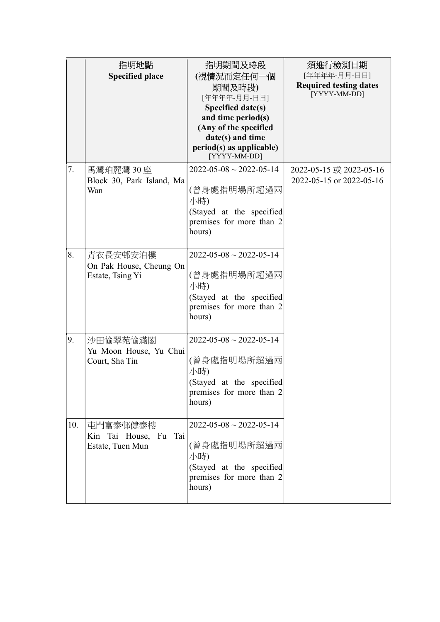|     | 指明地點<br><b>Specified place</b>                           | 指明期間及時段<br>(視情況而定任何一個<br>期間及時段)<br>[年年年年-月月-日日]<br>Specified date(s)<br>and time period(s)<br>(Any of the specified<br>date(s) and time<br>period(s) as applicable)<br>[YYYY-MM-DD] | 須進行檢測日期<br>[年年年年-月月-日日]<br><b>Required testing dates</b><br>[YYYY-MM-DD] |
|-----|----------------------------------------------------------|-------------------------------------------------------------------------------------------------------------------------------------------------------------------------------------|--------------------------------------------------------------------------|
| 7.  | 馬灣珀麗灣 30座<br>Block 30, Park Island, Ma<br>Wan            | $2022 - 05 - 08 \sim 2022 - 05 - 14$<br>(曾身處指明場所超過兩<br>小時)<br>(Stayed at the specified<br>premises for more than 2<br>hours)                                                        | 2022-05-15 或 2022-05-16<br>2022-05-15 or 2022-05-16                      |
| 8.  | 青衣長安邨安泊樓<br>On Pak House, Cheung On<br>Estate, Tsing Yi  | $2022 - 05 - 08 \sim 2022 - 05 - 14$<br>(曾身處指明場所超過兩<br>小時)<br>(Stayed at the specified<br>premises for more than 2<br>hours)                                                        |                                                                          |
| 9.  | 沙田愉翠苑愉滿閣<br>Yu Moon House, Yu Chui<br>Court, Sha Tin     | $2022 - 05 - 08 \sim 2022 - 05 - 14$<br>(曾身處指明場所超過兩<br>小時)<br>(Stayed at the specified<br>premises for more than 2<br>hours)                                                        |                                                                          |
| 10. | 屯門富泰邨健泰樓<br>Kin Tai House, Fu<br>Tai<br>Estate, Tuen Mun | $2022 - 05 - 08 \sim 2022 - 05 - 14$<br>(曾身處指明場所超過兩<br>小時)<br>(Stayed at the specified<br>premises for more than 2<br>hours)                                                        |                                                                          |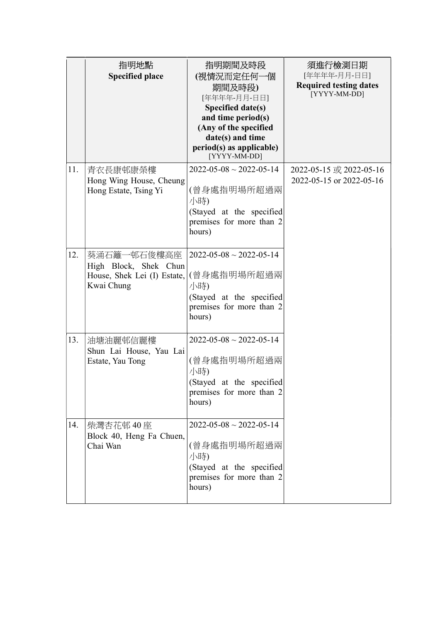|     | 指明地點<br><b>Specified place</b>                                                    | 指明期間及時段<br>(視情況而定任何一個<br>期間及時段)<br>[年年年年-月月-日日]<br>Specified date(s)<br>and time period(s)<br>(Any of the specified<br>date(s) and time<br>period(s) as applicable)<br>[YYYY-MM-DD] | 須進行檢測日期<br>[年年年年-月月-日日]<br><b>Required testing dates</b><br>[YYYY-MM-DD] |
|-----|-----------------------------------------------------------------------------------|-------------------------------------------------------------------------------------------------------------------------------------------------------------------------------------|--------------------------------------------------------------------------|
| 11. | 青衣長康邨康榮樓<br>Hong Wing House, Cheung<br>Hong Estate, Tsing Yi                      | $2022 - 05 - 08 \sim 2022 - 05 - 14$<br>(曾身處指明場所超過兩<br>小時)<br>(Stayed at the specified<br>premises for more than 2<br>hours)                                                        | 2022-05-15 或 2022-05-16<br>2022-05-15 or 2022-05-16                      |
| 12. | 葵涌石籬一邨石俊樓高座<br>High Block, Shek Chun<br>House, Shek Lei (I) Estate,<br>Kwai Chung | $2022 - 05 - 08 \sim 2022 - 05 - 14$<br>(曾身處指明場所超過兩<br>小時)<br>(Stayed at the specified<br>premises for more than 2<br>hours)                                                        |                                                                          |
| 13. | 油塘油麗邨信麗樓<br>Shun Lai House, Yau Lai<br>Estate, Yau Tong                           | $2022 - 05 - 08 \sim 2022 - 05 - 14$<br>(曾身處指明場所超過兩<br>小時)<br>(Stayed at the specified<br>premises for more than 2<br>hours)                                                        |                                                                          |
| 14. | 柴灣杏花邨 40 座<br>Block 40, Heng Fa Chuen,<br>Chai Wan                                | $2022 - 05 - 08 \sim 2022 - 05 - 14$<br>(曾身處指明場所超過兩<br>小時)<br>(Stayed at the specified<br>premises for more than 2<br>hours)                                                        |                                                                          |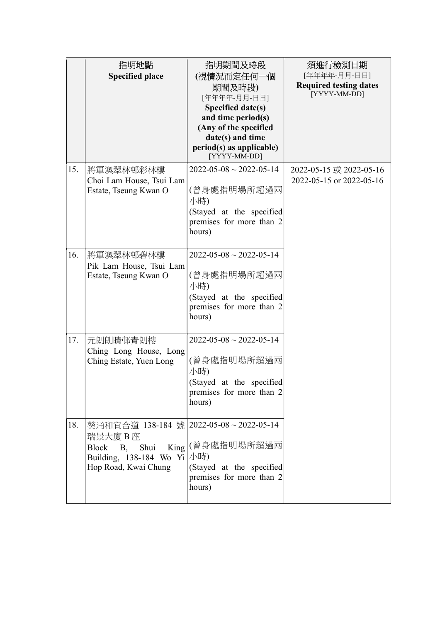|     | 指明地點<br><b>Specified place</b>                                                                                                                 | 指明期間及時段<br>(視情況而定任何一個<br>期間及時段)<br>[年年年年-月月-日日]<br>Specified date(s)<br>and time period(s)<br>(Any of the specified<br>date(s) and time<br>period(s) as applicable)<br>[YYYY-MM-DD] | 須進行檢測日期<br>[年年年年-月月-日日]<br><b>Required testing dates</b><br>[YYYY-MM-DD] |
|-----|------------------------------------------------------------------------------------------------------------------------------------------------|-------------------------------------------------------------------------------------------------------------------------------------------------------------------------------------|--------------------------------------------------------------------------|
| 15. | 將軍澳翠林邨彩林樓<br>Choi Lam House, Tsui Lam<br>Estate, Tseung Kwan O                                                                                 | $2022 - 05 - 08 \sim 2022 - 05 - 14$<br>(曾身處指明場所超過兩<br>小時)<br>(Stayed at the specified<br>premises for more than 2<br>hours)                                                        | 2022-05-15 或 2022-05-16<br>2022-05-15 or 2022-05-16                      |
| 16. | 將軍澳翠林邨碧林樓<br>Pik Lam House, Tsui Lam<br>Estate, Tseung Kwan O                                                                                  | $2022 - 05 - 08 \sim 2022 - 05 - 14$<br>(曾身處指明場所超過兩<br>小時)<br>(Stayed at the specified<br>premises for more than 2<br>hours)                                                        |                                                                          |
| 17. | 元朗朗晴邨青朗樓<br>Ching Long House, Long<br>Ching Estate, Yuen Long                                                                                  | $2022 - 05 - 08 \sim 2022 - 05 - 14$<br>(曾身處指明場所超過兩<br>小時)<br>(Stayed at the specified<br>premises for more than 2<br>hours)                                                        |                                                                          |
| 18. | 葵涌和宜合道 138-184 號 2022-05-08~2022-05-14<br>瑞景大廈B座<br>Shui<br><b>Block</b><br><b>B</b> ,<br>Building, 138-184 Wo Yi /小時)<br>Hop Road, Kwai Chung | King (曾身處指明場所超過兩<br>(Stayed at the specified<br>premises for more than 2<br>hours)                                                                                                  |                                                                          |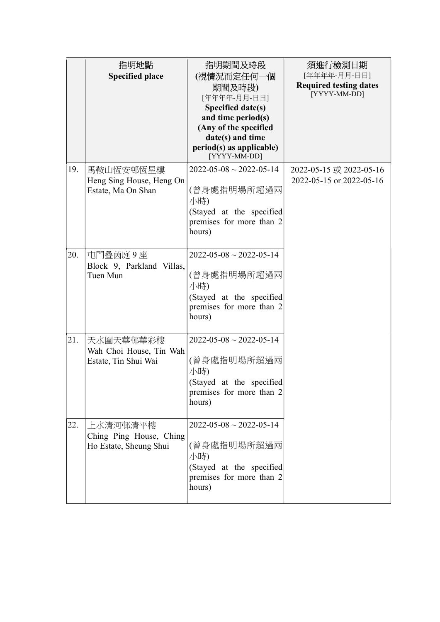|     | 指明地點<br><b>Specified place</b>                                | 指明期間及時段<br>(視情況而定任何一個<br>期間及時段)<br>[年年年年-月月-日日]<br>Specified date(s)<br>and time period(s)<br>(Any of the specified<br>date(s) and time<br>period(s) as applicable)<br>[YYYY-MM-DD] | 須進行檢測日期<br>[年年年年-月月-日日]<br><b>Required testing dates</b><br>[YYYY-MM-DD] |
|-----|---------------------------------------------------------------|-------------------------------------------------------------------------------------------------------------------------------------------------------------------------------------|--------------------------------------------------------------------------|
| 19. | 馬鞍山恆安邨恆星樓<br>Heng Sing House, Heng On<br>Estate, Ma On Shan   | $2022 - 05 - 08 \sim 2022 - 05 - 14$<br>(曾身處指明場所超過兩<br>小時)<br>(Stayed at the specified<br>premises for more than 2<br>hours)                                                        | 2022-05-15 或 2022-05-16<br>2022-05-15 or 2022-05-16                      |
| 20. | 屯門叠茵庭9座<br>Block 9, Parkland Villas,<br>Tuen Mun              | $2022 - 05 - 08 \sim 2022 - 05 - 14$<br>(曾身處指明場所超過兩<br>小時)<br>(Stayed at the specified<br>premises for more than 2<br>hours)                                                        |                                                                          |
| 21. | 天水圍天華邨華彩樓<br>Wah Choi House, Tin Wah<br>Estate, Tin Shui Wai  | $2022 - 05 - 08 \sim 2022 - 05 - 14$<br>(曾身處指明場所超過兩<br>小時)<br>(Stayed at the specified<br>premises for more than 2<br>hours)                                                        |                                                                          |
| 22. | 上水清河邨清平樓<br>Ching Ping House, Ching<br>Ho Estate, Sheung Shui | $2022 - 05 - 08 \sim 2022 - 05 - 14$<br>(曾身處指明場所超過兩<br>小時)<br>(Stayed at the specified<br>premises for more than 2<br>hours)                                                        |                                                                          |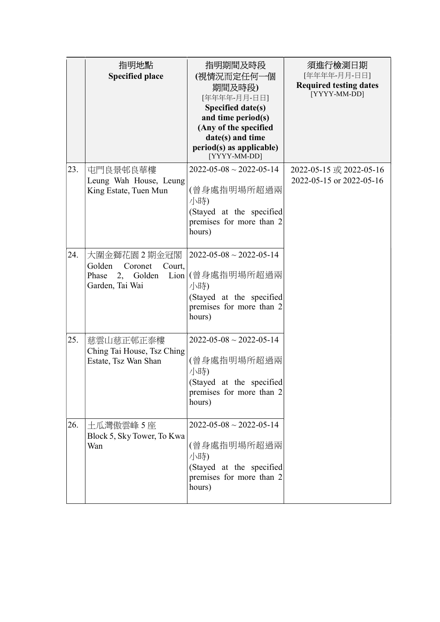|     | 指明地點<br><b>Specified place</b>                                                      | 指明期間及時段<br>(視情況而定任何一個<br>期間及時段)<br>[年年年年-月月-日日]<br>Specified date(s)<br>and time period(s)<br>(Any of the specified<br>date(s) and time<br>period(s) as applicable)<br>[YYYY-MM-DD] | 須進行檢測日期<br>[年年年年-月月-日日]<br><b>Required testing dates</b><br>[YYYY-MM-DD] |
|-----|-------------------------------------------------------------------------------------|-------------------------------------------------------------------------------------------------------------------------------------------------------------------------------------|--------------------------------------------------------------------------|
| 23. | 屯門良景邨良華樓<br>Leung Wah House, Leung<br>King Estate, Tuen Mun                         | $2022 - 05 - 08 \sim 2022 - 05 - 14$<br>(曾身處指明場所超過兩<br>小時)<br>(Stayed at the specified<br>premises for more than 2<br>hours)                                                        | 2022-05-15 或 2022-05-16<br>2022-05-15 or 2022-05-16                      |
| 24. | 大圍金獅花園2期金冠閣<br>Golden<br>Court,<br>Coronet<br>Phase<br>2, Golden<br>Garden, Tai Wai | $2022 - 05 - 08 \sim 2022 - 05 - 14$<br>Lion (曾身處指明場所超過兩<br>小時)<br>(Stayed at the specified<br>premises for more than 2<br>hours)                                                   |                                                                          |
| 25. | 慈雲山慈正邨正泰樓<br>Ching Tai House, Tsz Ching<br>Estate, Tsz Wan Shan                     | $2022 - 05 - 08 \sim 2022 - 05 - 14$<br>(曾身處指明場所超過兩<br>小時)<br>(Stayed at the specified<br>premises for more than 2<br>hours)                                                        |                                                                          |
| 26. | 土瓜灣傲雲峰 5座<br>Block 5, Sky Tower, To Kwa<br>Wan                                      | $2022 - 05 - 08 \sim 2022 - 05 - 14$<br>(曾身處指明場所超過兩<br>小時)<br>(Stayed at the specified<br>premises for more than 2<br>hours)                                                        |                                                                          |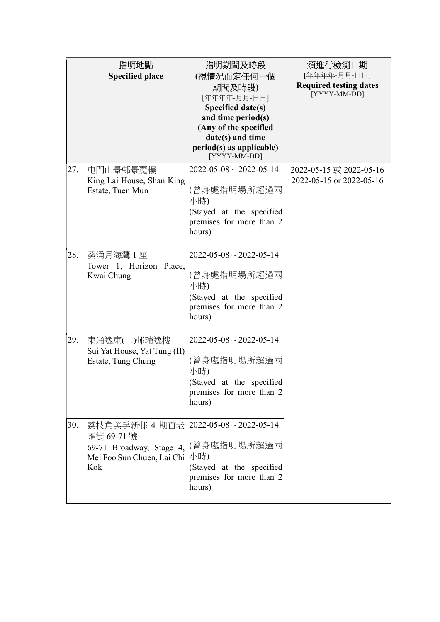|     | 指明地點<br><b>Specified place</b>                                                               | 指明期間及時段<br>(視情況而定任何一個<br>期間及時段)<br>[年年年年-月月-日日]<br>Specified date(s)<br>and time period(s)<br>(Any of the specified<br>date(s) and time<br>period(s) as applicable)<br>[YYYY-MM-DD] | 須進行檢測日期<br>[年年年年-月月-日日]<br><b>Required testing dates</b><br>[YYYY-MM-DD] |
|-----|----------------------------------------------------------------------------------------------|-------------------------------------------------------------------------------------------------------------------------------------------------------------------------------------|--------------------------------------------------------------------------|
| 27. | 屯門山景邨景麗樓<br>King Lai House, Shan King<br>Estate, Tuen Mun                                    | $2022 - 05 - 08 \sim 2022 - 05 - 14$<br>(曾身處指明場所超過兩<br>小時)<br>(Stayed at the specified<br>premises for more than 2<br>hours)                                                        | 2022-05-15 或 2022-05-16<br>2022-05-15 or 2022-05-16                      |
| 28. | 葵涌月海灣 1 座<br>Tower 1, Horizon Place,<br>Kwai Chung                                           | $2022 - 05 - 08 \sim 2022 - 05 - 14$<br>(曾身處指明場所超過兩<br>小時)<br>(Stayed at the specified<br>premises for more than 2<br>hours)                                                        |                                                                          |
| 29. | 東涌逸東(二)邨瑞逸樓<br>Sui Yat House, Yat Tung (II)<br>Estate, Tung Chung                            | $2022 - 05 - 08 \sim 2022 - 05 - 14$<br>(曾身處指明場所超過兩<br>小時)<br>(Stayed at the specified<br>premises for more than 2<br>hours)                                                        |                                                                          |
| 30. | 荔枝角美孚新邨 4 期百老 <br>匯街 69-71號<br>69-71 Broadway, Stage 4,<br>Mei Foo Sun Chuen, Lai Chi<br>Kok | $2022 - 05 - 08 \sim 2022 - 05 - 14$<br>(曾身處指明場所超過兩<br>小時)<br>(Stayed at the specified<br>premises for more than 2<br>hours)                                                        |                                                                          |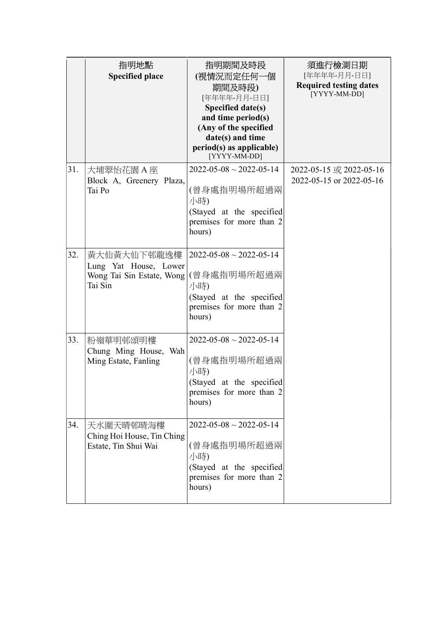|     | 指明地點<br><b>Specified place</b>                                               | 指明期間及時段<br>(視情況而定任何一個<br>期間及時段)<br>[年年年年-月月-日日]<br>Specified date(s)<br>and time period(s)<br>(Any of the specified<br>date(s) and time<br>period(s) as applicable)<br>[YYYY-MM-DD] | 須進行檢測日期<br>[年年年年-月月-日日]<br><b>Required testing dates</b><br>[YYYY-MM-DD] |
|-----|------------------------------------------------------------------------------|-------------------------------------------------------------------------------------------------------------------------------------------------------------------------------------|--------------------------------------------------------------------------|
| 31. | 大埔翠怡花園 A 座<br>Block A, Greenery Plaza,<br>Tai Po                             | $2022 - 05 - 08 \sim 2022 - 05 - 14$<br>(曾身處指明場所超過兩<br>小時)<br>(Stayed at the specified<br>premises for more than 2<br>hours)                                                        | 2022-05-15 或 2022-05-16<br>2022-05-15 or 2022-05-16                      |
| 32. | 黃大仙黃大仙下邨龍逸樓<br>Lung Yat House, Lower<br>Wong Tai Sin Estate, Wong<br>Tai Sin | $2022 - 05 - 08 \sim 2022 - 05 - 14$<br>(曾身處指明場所超過兩<br>小時)<br>(Stayed at the specified<br>premises for more than 2<br>hours)                                                        |                                                                          |
| 33. | 粉嶺華明邨頌明樓<br>Chung Ming House, Wah<br>Ming Estate, Fanling                    | $2022 - 05 - 08 \sim 2022 - 05 - 14$<br>(曾身處指明場所超過兩<br>小時)<br>(Stayed at the specified<br>premises for more than 2<br>hours)                                                        |                                                                          |
| 34. | 天水圍天晴邨晴海樓<br>Ching Hoi House, Tin Ching<br>Estate, Tin Shui Wai              | $2022 - 05 - 08 \sim 2022 - 05 - 14$<br>(曾身處指明場所超過兩<br>小時)<br>(Stayed at the specified<br>premises for more than 2<br>hours)                                                        |                                                                          |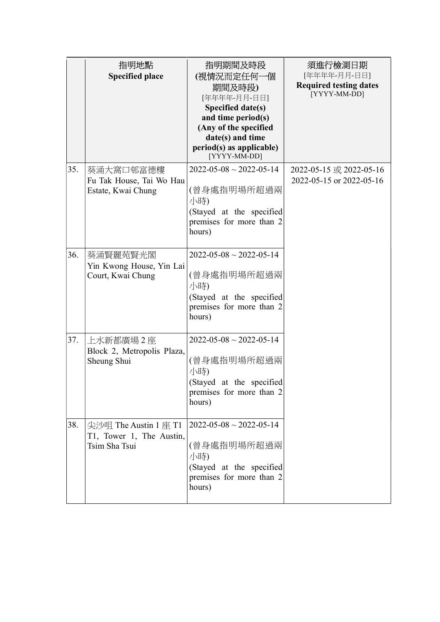|     | 指明地點<br><b>Specified place</b>                                     | 指明期間及時段<br>(視情況而定任何一個<br>期間及時段)<br>[年年年年-月月-日日]<br>Specified date(s)<br>and time period(s)<br>(Any of the specified<br>date(s) and time<br>period(s) as applicable)<br>[YYYY-MM-DD] | 須進行檢測日期<br>[年年年年-月月-日日]<br><b>Required testing dates</b><br>[YYYY-MM-DD] |
|-----|--------------------------------------------------------------------|-------------------------------------------------------------------------------------------------------------------------------------------------------------------------------------|--------------------------------------------------------------------------|
| 35. | 葵涌大窩口邨富德樓<br>Fu Tak House, Tai Wo Hau<br>Estate, Kwai Chung        | $2022 - 05 - 08 \sim 2022 - 05 - 14$<br>(曾身處指明場所超過兩<br>小時)<br>(Stayed at the specified<br>premises for more than 2<br>hours)                                                        | 2022-05-15 或 2022-05-16<br>2022-05-15 or 2022-05-16                      |
| 36. | 葵涌賢麗苑賢光閣<br>Yin Kwong House, Yin Lai<br>Court, Kwai Chung          | $2022 - 05 - 08 \sim 2022 - 05 - 14$<br>(曾身處指明場所超過兩<br>小時)<br>(Stayed at the specified<br>premises for more than 2<br>hours)                                                        |                                                                          |
| 37. | 上水新都廣場2座<br>Block 2, Metropolis Plaza,<br>Sheung Shui              | $2022 - 05 - 08 \sim 2022 - 05 - 14$<br>(曾身處指明場所超過兩<br>小時)<br>(Stayed at the specified<br>premises for more than 2<br>hours)                                                        |                                                                          |
| 38. | 尖沙咀 The Austin 1 座 T1<br>T1, Tower 1, The Austin,<br>Tsim Sha Tsui | $2022 - 05 - 08 \sim 2022 - 05 - 14$<br>(曾身處指明場所超過兩<br>小時)<br>(Stayed at the specified<br>premises for more than 2<br>hours)                                                        |                                                                          |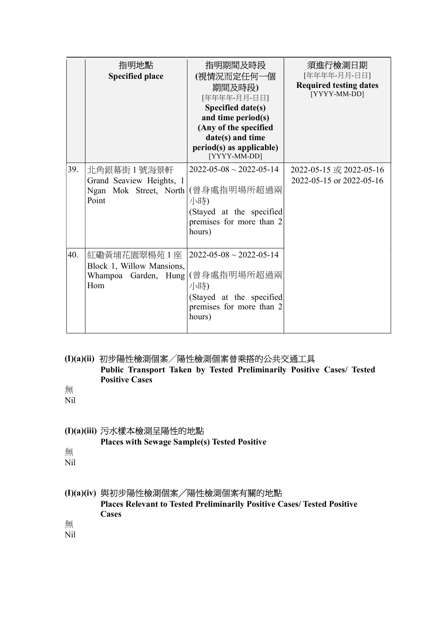|     | 指明地點<br><b>Specified place</b>                                                            | 指明期間及時段<br>(視情況而定任何一個<br>期間及時段)<br>[年年年年-月月-日日]<br>Specified date(s)<br>and time period(s)<br>(Any of the specified<br>date(s) and time<br>period(s) as applicable)<br>[YYYY-MM-DD] | 須進行檢測日期<br>[年年年年-月月-日日]<br><b>Required testing dates</b><br>[YYYY-MM-DD] |
|-----|-------------------------------------------------------------------------------------------|-------------------------------------------------------------------------------------------------------------------------------------------------------------------------------------|--------------------------------------------------------------------------|
| 39. | 北角銀幕街 1 號海景軒<br>Grand Seaview Heights, 1<br>Ngan Mok Street, North   (曾身處指明場所超過兩<br>Point | $2022 - 05 - 08 \sim 2022 - 05 - 14$<br>小時)<br>(Stayed at the specified<br>premises for more than 2<br>hours)                                                                       | 2022-05-15 或 2022-05-16<br>2022-05-15 or 2022-05-16                      |
| 40. | 紅磡黃埔花園翠楊苑 1 座<br>Block 1, Willow Mansions,<br>Whampoa Garden, Hung (曾身處指明場所超過兩<br>Hom     | $2022 - 05 - 08 \sim 2022 - 05 - 14$<br>小時)<br>(Stayed at the specified<br>premises for more than 2<br>hours)                                                                       |                                                                          |

# (I)(a)(ii) 初步陽性檢測個案╱陽性檢測個案曾乘搭的公共交通工具

 Public Transport Taken by Tested Preliminarily Positive Cases/ Tested Positive Cases

無 Nil

#### (I)(a)(iii) 污水樣本檢測呈陽性的地點

Places with Sewage Sample(s) Tested Positive

無

Nil

#### (I)(a)(iv) 與初步陽性檢測個案╱陽性檢測個案有關的地點

Places Relevant to Tested Preliminarily Positive Cases/ Tested Positive Cases

無

Nil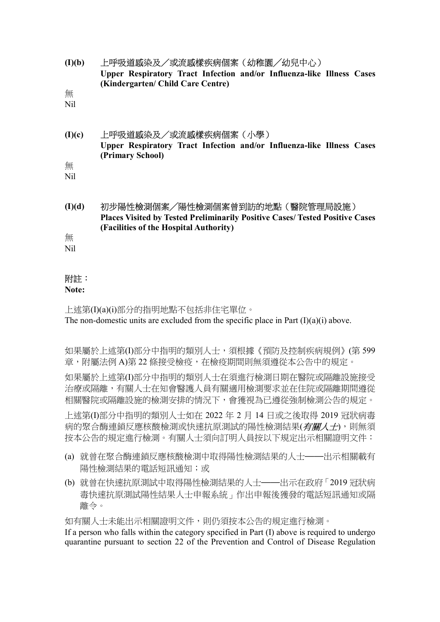| (I)(b) | 上呼吸道感染及/或流感樣疾病個案(幼稚園/幼兒中心)                                            |  |
|--------|-----------------------------------------------------------------------|--|
|        | Upper Respiratory Tract Infection and/or Influenza-like Illness Cases |  |
|        | (Kindergarten/ Child Care Centre)                                     |  |

無

Nil

## (I)(c) 上呼吸道感染及/或流感樣疾病個案(小學) Upper Respiratory Tract Infection and/or Influenza-like Illness Cases (Primary School)

無 Nil

(I)(d) 初步陽性檢測個案╱陽性檢測個案曾到訪的地點(醫院管理局設施) Places Visited by Tested Preliminarily Positive Cases/ Tested Positive Cases (Facilities of the Hospital Authority)

無

Nil

### 附註:

#### Note:

上述第(I)(a)(i)部分的指明地點不包括非住宅單位。 The non-domestic units are excluded from the specific place in Part  $(I)(a)(i)$  above.

如果屬於上述第(I)部分中指明的類別人士,須根據《預防及控制疾病規例》(第 599 章,附屬法例 A)第 22 條接受檢疫,在檢疫期間則無須遵從本公告中的規定。

如果屬於上述第(I)部分中指明的類別人士在須進行檢測日期在醫院或隔離設施接受 治療或隔離,有關人士在知會醫護人員有關適用檢測要求並在住院或隔離期間遵從 相關醫院或隔離設施的檢測安排的情況下,會獲視為已遵從強制檢測公告的規定。

上述第(I)部分中指明的類別人士如在 2022 年 2 月 14 日或之後取得 2019 冠狀病毒 病的聚合酶連鎖反應核酸檢測或快速抗原測試的陽性檢測結果(有關人士),則無須 按本公告的規定進行檢測。有關人士須向訂明人員按以下規定出示相關證明文件:

- (a) 就曾在聚合酶連鎖反應核酸檢測中取得陽性檢測結果的人士——出示相關載有 陽性檢測結果的電話短訊通知;或
- (b) 就曾在快速抗原測試中取得陽性檢測結果的人士——出示在政府「2019 冠狀病 毒快速抗原測試陽性結果人士申報系統」作出申報後獲發的電話短訊通知或隔 離令。

如有關人士未能出示相關證明文件,則仍須按本公告的規定進行檢測。

If a person who falls within the category specified in Part (I) above is required to undergo quarantine pursuant to section 22 of the Prevention and Control of Disease Regulation